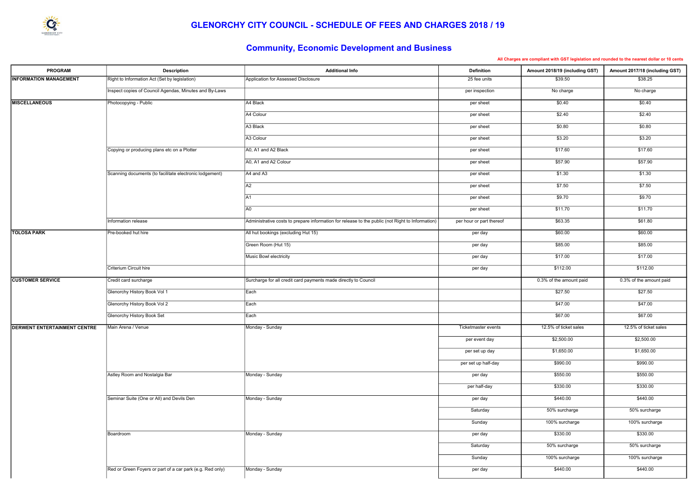| <b>PROGRAM</b>                      | <b>Description</b>                                        | <b>Additional Info</b>                                                                           | <b>Definition</b>        | Amount 2018/19 (including GST) | Amount 2017/18 (including GST) |
|-------------------------------------|-----------------------------------------------------------|--------------------------------------------------------------------------------------------------|--------------------------|--------------------------------|--------------------------------|
| <b>INFORMATION MANAGEMENT</b>       | Right to Information Act (Set by legislation)             | Application for Assessed Disclosure                                                              | 25 fee units             | \$39.50                        | \$38.25                        |
|                                     | Inspect copies of Council Agendas, Minutes and By-Laws    |                                                                                                  | per inspection           | No charge                      | No charge                      |
| <b>MISCELLANEOUS</b>                | Photocopying - Public                                     | A4 Black                                                                                         | per sheet                | \$0.40                         | \$0.40                         |
|                                     |                                                           | A4 Colour                                                                                        | per sheet                | \$2.40                         | \$2.40                         |
|                                     |                                                           | A3 Black                                                                                         | per sheet                | \$0.80                         | \$0.80                         |
|                                     |                                                           | A3 Colour                                                                                        | per sheet                | \$3.20                         | \$3.20                         |
|                                     | Copying or producing plans etc on a Plotter               | A0, A1 and A2 Black                                                                              | per sheet                | \$17.60                        | \$17.60                        |
|                                     |                                                           | A0, A1 and A2 Colour                                                                             | per sheet                | \$57.90                        | \$57.90                        |
|                                     | Scanning documents (to facilitate electronic lodgement)   | $AA$ and A3                                                                                      | per sheet                | \$1.30                         | \$1.30                         |
|                                     |                                                           | A2                                                                                               | per sheet                | \$7.50                         | \$7.50                         |
|                                     |                                                           | A1                                                                                               | per sheet                | \$9.70                         | \$9.70                         |
|                                     |                                                           | A0                                                                                               | per sheet                | \$11.70                        | \$11.70                        |
|                                     | Information release                                       | Administrative costs to prepare information for release to the public (not Right to Information) | per hour or part thereof | \$63.35                        | \$61.80                        |
| <b>TOLOSA PARK</b>                  | Pre-booked hut hire                                       | All hut bookings (excluding Hut 15)                                                              | per day                  | \$60.00                        | \$60.00                        |
|                                     |                                                           | Green Room (Hut 15)                                                                              | per day                  | \$85.00                        | \$85.00                        |
|                                     |                                                           | Music Bowl electricity                                                                           | per day                  | \$17.00                        | \$17.00                        |
|                                     | Criterium Circuit hire                                    |                                                                                                  | per day                  | \$112.00                       | \$112.00                       |
| <b>CUSTOMER SERVICE</b>             | Credit card surcharge                                     | Surcharge for all credit card payments made directly to Council                                  |                          | 0.3% of the amount paid        | 0.3% of the amount paid        |
|                                     | Glenorchy History Book Vol 1                              | Each                                                                                             |                          | \$27.50                        | \$27.50                        |
|                                     | Glenorchy History Book Vol 2                              | Each                                                                                             |                          | \$47.00                        | \$47.00                        |
|                                     | Glenorchy History Book Set                                | Each                                                                                             |                          | \$67.00                        | \$67.00                        |
| <b>DERWENT ENTERTAINMENT CENTRE</b> | Main Arena / Venue                                        | Monday - Sunday                                                                                  | Ticketmaster events      | 12.5% of ticket sales          | 12.5% of ticket sales          |
|                                     |                                                           |                                                                                                  | per event day            | \$2,500.00                     | \$2,500.00                     |
|                                     |                                                           |                                                                                                  | per set up day           | \$1,650.00                     | \$1,650.00                     |
|                                     |                                                           |                                                                                                  | per set up half-day      | \$990.00                       | \$990.00                       |
|                                     | Astley Room and Nostalgia Bar                             | Monday - Sunday                                                                                  | per day                  | \$550.00                       | \$550.00                       |
|                                     |                                                           |                                                                                                  | per half-day             | \$330.00                       | \$330.00                       |
|                                     | Seminar Suite (One or All) and Devils Den                 | Monday - Sunday                                                                                  | per day                  | \$440.00                       | \$440.00                       |
|                                     |                                                           |                                                                                                  | Saturday                 | 50% surcharge                  | 50% surcharge                  |
|                                     |                                                           |                                                                                                  | Sunday                   | 100% surcharge                 | 100% surcharge                 |
|                                     | Boardroom                                                 | Monday - Sunday                                                                                  | per day                  | \$330.00                       | \$330.00                       |
|                                     |                                                           |                                                                                                  | Saturday                 | 50% surcharge                  | 50% surcharge                  |
|                                     |                                                           |                                                                                                  | Sunday                   | 100% surcharge                 | 100% surcharge                 |
|                                     | Red or Green Foyers or part of a car park (e.g. Red only) | Monday - Sunday                                                                                  | per day                  | \$440.00                       | \$440.00                       |
|                                     |                                                           |                                                                                                  |                          |                                |                                |

All Charges are compliant with GST legislation and rounded to the nearest dollar or 10 cents

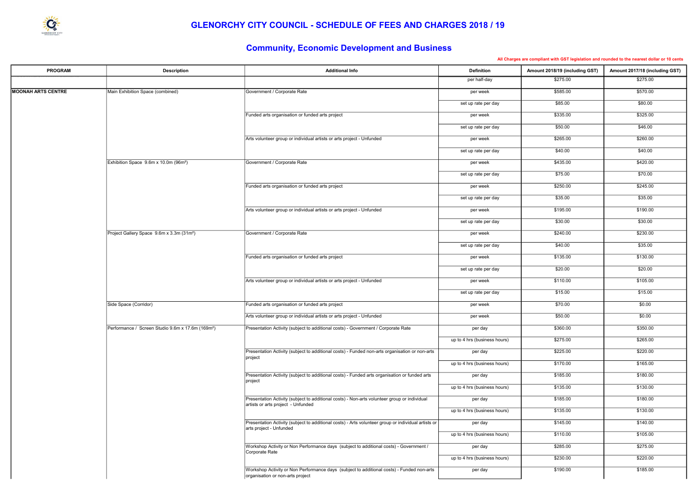| <b>PROGRAM</b>            | <b>Description</b>                                            | <b>Additional Info</b>                                                                                                             | <b>Definition</b>            | Amount 2018/19 (including GST) | Amount 2017/18 (including GST) |
|---------------------------|---------------------------------------------------------------|------------------------------------------------------------------------------------------------------------------------------------|------------------------------|--------------------------------|--------------------------------|
|                           |                                                               |                                                                                                                                    | per half-day                 | \$275.00                       | \$275.00                       |
| <b>MOONAH ARTS CENTRE</b> | Main Exhibition Space (combined)                              | Government / Corporate Rate                                                                                                        | per week                     | \$585.00                       | \$570.00                       |
|                           |                                                               |                                                                                                                                    | set up rate per day          | \$85.00                        | \$80.00                        |
|                           |                                                               | Funded arts organisation or funded arts project                                                                                    | per week                     | \$335.00                       | \$325.00                       |
|                           |                                                               |                                                                                                                                    | set up rate per day          | \$50.00                        | \$46.00                        |
|                           |                                                               | Arts volunteer group or individual artists or arts project - Unfunded                                                              | per week                     | \$265.00                       | \$260.00                       |
|                           |                                                               |                                                                                                                                    | set up rate per day          | \$40.00                        | \$40.00                        |
|                           | Exhibition Space 9.6m x 10.0m (96m <sup>2</sup> )             | Government / Corporate Rate                                                                                                        | per week                     | \$435.00                       | \$420.00                       |
|                           |                                                               |                                                                                                                                    | set up rate per day          | \$75.00                        | \$70.00                        |
|                           |                                                               | Funded arts organisation or funded arts project                                                                                    | per week                     | \$250.00                       | \$245.00                       |
|                           |                                                               |                                                                                                                                    | set up rate per day          | \$35.00                        | \$35.00                        |
|                           |                                                               | Arts volunteer group or individual artists or arts project - Unfunded                                                              | per week                     | \$195.00                       | \$190.00                       |
|                           |                                                               |                                                                                                                                    | set up rate per day          | \$30.00                        | \$30.00                        |
|                           | Project Gallery Space 9.6m x 3.3m (31m <sup>2</sup> )         | Government / Corporate Rate                                                                                                        | per week                     | \$240.00                       | \$230.00                       |
|                           |                                                               |                                                                                                                                    | set up rate per day          | \$40.00                        | \$35.00                        |
|                           |                                                               | Funded arts organisation or funded arts project                                                                                    | per week                     | \$135.00                       | \$130.00                       |
|                           |                                                               |                                                                                                                                    | set up rate per day          | \$20.00                        | \$20.00                        |
|                           |                                                               | Arts volunteer group or individual artists or arts project - Unfunded                                                              | per week                     | \$110.00                       | \$105.00                       |
|                           |                                                               |                                                                                                                                    | set up rate per day          | \$15.00                        | \$15.00                        |
|                           | Side Space (Corridor)                                         | Funded arts organisation or funded arts project                                                                                    | per week                     | \$70.00                        | \$0.00                         |
|                           |                                                               | Arts volunteer group or individual artists or arts project - Unfunded                                                              | per week                     | \$50.00                        | \$0.00                         |
|                           | Performance / Screen Studio 9.6m x 17.6m (169m <sup>2</sup> ) | Presentation Activity (subject to additional costs) - Government / Corporate Rate                                                  | per day                      | \$360.00                       | \$350.00                       |
|                           |                                                               |                                                                                                                                    | up to 4 hrs (business hours) | \$275.00                       | \$265.00                       |
|                           |                                                               | Presentation Activity (subject to additional costs) - Funded non-arts organisation or non-arts<br>project                          | per day                      | \$225.00                       | \$220.00                       |
|                           |                                                               |                                                                                                                                    | up to 4 hrs (business hours) | \$170.00                       | \$165.00                       |
|                           |                                                               | Presentation Activity (subject to additional costs) - Funded arts organisation or funded arts<br>project                           | per day                      | \$185.00                       | \$180.00                       |
|                           |                                                               |                                                                                                                                    | up to 4 hrs (business hours) | \$135.00                       | \$130.00                       |
|                           |                                                               | Presentation Activity (subject to additional costs) - Non-arts volunteer group or individual<br>artists or arts project - Unfunded | per day                      | \$185.00                       | \$180.00                       |
|                           |                                                               |                                                                                                                                    | up to 4 hrs (business hours) | \$135.00                       | \$130.00                       |
|                           |                                                               | Presentation Activity (subject to additional costs) - Arts volunteer group or individual artists or<br>arts project - Unfunded     | per day                      | \$145.00                       | \$140.00                       |
|                           |                                                               |                                                                                                                                    | up to 4 hrs (business hours) | \$110.00                       | \$105.00                       |
|                           |                                                               | Workshop Activity or Non Performance days (subject to additional costs) - Government /<br>Corporate Rate                           | per day                      | \$285.00                       | \$275.00                       |
|                           |                                                               |                                                                                                                                    | up to 4 hrs (business hours) | \$230.00                       | \$220.00                       |
|                           |                                                               | Workshop Activity or Non Performance days (subject to additional costs) - Funded non-arts<br>organisation or non-arts project      | per day                      | \$190.00                       | \$185.00                       |

All Charges are compliant with GST legislation and rounded to the nearest dollar or 10 cents

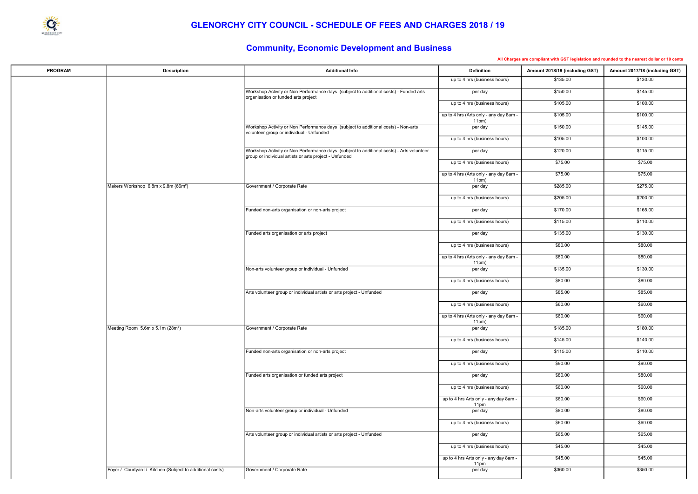

#### GLENORCHY CITY COUNCIL - SCHEDULE OF FEES AND CHARGES 2018 / 19

| <b>PROGRAM</b> | <b>Description</b>                                        | <b>Additional Info</b>                                                                                                                             | <b>Definition</b>                               | Amount 2018/19 (including GST) | Amount 2017/18 (including GST) |
|----------------|-----------------------------------------------------------|----------------------------------------------------------------------------------------------------------------------------------------------------|-------------------------------------------------|--------------------------------|--------------------------------|
|                |                                                           |                                                                                                                                                    | up to 4 hrs (business hours)                    | \$135.00                       | \$130.00                       |
|                |                                                           | Workshop Activity or Non Performance days (subject to additional costs) - Funded arts<br>organisation or funded arts project                       | per day                                         | \$150.00                       | \$145.00                       |
|                |                                                           |                                                                                                                                                    | up to 4 hrs (business hours)                    | \$105.00                       | \$100.00                       |
|                |                                                           |                                                                                                                                                    | up to 4 hrs (Arts only - any day 8am -<br>11pm) | \$105.00                       | \$100.00                       |
|                |                                                           | Workshop Activity or Non Performance days (subject to additional costs) - Non-arts<br>volunteer group or individual - Unfunded                     | per day                                         | \$150.00                       | \$145.00                       |
|                |                                                           |                                                                                                                                                    | up to 4 hrs (business hours)                    | \$105.00                       | \$100.00                       |
|                |                                                           | Workshop Activity or Non Performance days (subject to additional costs) - Arts volunteer<br>group or individual artists or arts project - Unfunded | per day                                         | \$120.00                       | \$115.00                       |
|                |                                                           |                                                                                                                                                    | up to 4 hrs (business hours)                    | \$75.00                        | \$75.00                        |
|                |                                                           |                                                                                                                                                    | up to 4 hrs (Arts only - any day 8am -<br>11pm) | \$75.00                        | \$75.00                        |
|                | Makers Workshop 6.8m x 9.8m (66m <sup>2</sup> )           | Government / Corporate Rate                                                                                                                        | per day                                         | \$285.00                       | \$275.00                       |
|                |                                                           |                                                                                                                                                    | up to 4 hrs (business hours)                    | \$205.00                       | \$200.00                       |
|                |                                                           | Funded non-arts organisation or non-arts project                                                                                                   | per day                                         | \$170.00                       | \$165.00                       |
|                |                                                           |                                                                                                                                                    | up to 4 hrs (business hours)                    | \$115.00                       | \$110.00                       |
|                |                                                           | Funded arts organisation or arts project                                                                                                           | per day                                         | \$135.00                       | \$130.00                       |
|                |                                                           |                                                                                                                                                    | up to 4 hrs (business hours)                    | \$80.00                        | \$80.00                        |
|                |                                                           |                                                                                                                                                    | up to 4 hrs (Arts only - any day 8am -          | \$80.00                        | \$80.00                        |
|                |                                                           | Non-arts volunteer group or individual - Unfunded                                                                                                  | 11pm)<br>per day                                | \$135.00                       | \$130.00                       |
|                |                                                           |                                                                                                                                                    | up to 4 hrs (business hours)                    | \$80.00                        | \$80.00                        |
|                |                                                           | Arts volunteer group or individual artists or arts project - Unfunded                                                                              | per day                                         | \$85.00                        | \$85.00                        |
|                |                                                           |                                                                                                                                                    | up to 4 hrs (business hours)                    | \$60.00                        | \$60.00                        |
|                |                                                           |                                                                                                                                                    | up to 4 hrs (Arts only - any day 8am -          | \$60.00                        | \$60.00                        |
|                | Meeting Room 5.6m x 5.1m (28m <sup>2</sup> )              | Government / Corporate Rate                                                                                                                        | 11pm)<br>per day                                | \$185.00                       | \$180.00                       |
|                |                                                           |                                                                                                                                                    | up to 4 hrs (business hours)                    | \$145.00                       | \$140.00                       |
|                |                                                           | Funded non-arts organisation or non-arts project                                                                                                   | per day                                         | \$115.00                       | \$110.00                       |
|                |                                                           |                                                                                                                                                    | up to 4 hrs (business hours)                    | \$90.00                        | \$90.00                        |
|                |                                                           | Funded arts organisation or funded arts project                                                                                                    | per day                                         | \$80.00                        | \$80.00                        |
|                |                                                           |                                                                                                                                                    | up to 4 hrs (business hours)                    | \$60.00                        | \$60.00                        |
|                |                                                           |                                                                                                                                                    | up to 4 hrs Arts only - any day 8am -           | \$60.00                        | \$60.00                        |
|                |                                                           | Non-arts volunteer group or individual - Unfunded                                                                                                  | 11pm<br>per day                                 | \$80.00                        | \$80.00                        |
|                |                                                           |                                                                                                                                                    | up to 4 hrs (business hours)                    | \$60.00                        | \$60.00                        |
|                |                                                           | Arts volunteer group or individual artists or arts project - Unfunded                                                                              | per day                                         | \$65.00                        | \$65.00                        |
|                |                                                           |                                                                                                                                                    | up to 4 hrs (business hours)                    | \$45.00                        | \$45.00                        |
|                |                                                           |                                                                                                                                                    | up to 4 hrs Arts only - any day 8am -           | \$45.00                        | \$45.00                        |
|                | Foyer / Courtyard / Kitchen (Subject to additional costs) | Government / Corporate Rate                                                                                                                        | 11pm<br>per day                                 | \$360.00                       | \$350.00                       |
|                |                                                           |                                                                                                                                                    |                                                 |                                |                                |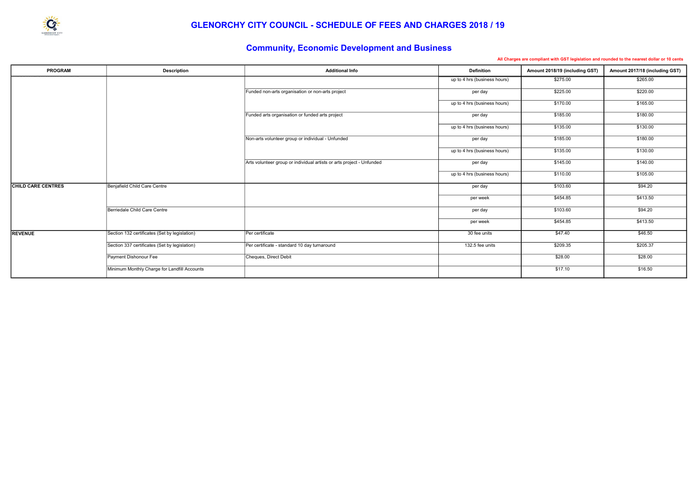

#### GLENORCHY CITY COUNCIL - SCHEDULE OF FEES AND CHARGES 2018 / 19

| <b>PROGRAM</b>            | <b>Description</b>                            | <b>Additional Info</b>                                                | <b>Definition</b>            | Amount 2018/19 (including GST) | Amount 2017/18 (including GST) |
|---------------------------|-----------------------------------------------|-----------------------------------------------------------------------|------------------------------|--------------------------------|--------------------------------|
|                           |                                               |                                                                       | up to 4 hrs (business hours) | \$275.00                       | \$265.00                       |
|                           |                                               | Funded non-arts organisation or non-arts project                      | per day                      | \$225.00                       | \$220.00                       |
|                           |                                               |                                                                       | up to 4 hrs (business hours) | \$170.00                       | \$165.00                       |
|                           |                                               | Funded arts organisation or funded arts project                       | per day                      | \$185.00                       | \$180.00                       |
|                           |                                               |                                                                       | up to 4 hrs (business hours) | \$135.00                       | \$130.00                       |
|                           |                                               | Non-arts volunteer group or individual - Unfunded                     | per day                      | \$185.00                       | \$180.00                       |
|                           |                                               |                                                                       | up to 4 hrs (business hours) | \$135.00                       | \$130.00                       |
|                           |                                               | Arts volunteer group or individual artists or arts project - Unfunded | per day                      | \$145.00                       | \$140.00                       |
|                           |                                               |                                                                       | up to 4 hrs (business hours) | \$110.00                       | \$105.00                       |
| <b>CHILD CARE CENTRES</b> | Benjafield Child Care Centre                  |                                                                       | per day                      | \$103.60                       | \$94.20                        |
|                           |                                               |                                                                       | per week                     | \$454.85                       | \$413.50                       |
|                           | Berriedale Child Care Centre                  |                                                                       | per day                      | \$103.60                       | \$94.20                        |
|                           |                                               |                                                                       | per week                     | \$454.85                       | \$413.50                       |
| <b>REVENUE</b>            | Section 132 certificates (Set by legislation) | Per certificate                                                       | 30 fee units                 | \$47.40                        | \$46.50                        |
|                           | Section 337 certificates (Set by legislation) | Per certificate - standard 10 day turnaround                          | 132.5 fee units              | \$209.35                       | \$205.37                       |
|                           | Payment Dishonour Fee                         | Cheques, Direct Debit                                                 |                              | \$28.00                        | \$28.00                        |
|                           | Minimum Monthly Charge for Landfill Accounts  |                                                                       |                              | \$17.10                        | \$16.50                        |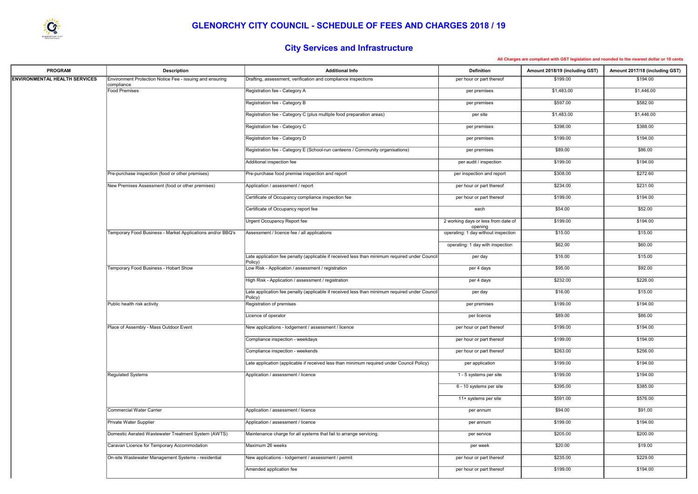| <b>PROGRAM</b>                       | <b>Description</b>                                                     | <b>Additional Info</b>                                                                        | <b>Definition</b>                              | Amount 2018/19 (including GST) | Amount 2017/18 (including GST) |
|--------------------------------------|------------------------------------------------------------------------|-----------------------------------------------------------------------------------------------|------------------------------------------------|--------------------------------|--------------------------------|
| <b>ENVIRONMENTAL HEALTH SERVICES</b> | Environment Protection Notice Fee - issuing and ensuring<br>compliance | Drafting, assessment, verification and compliance inspections                                 | per hour or part thereof                       | \$199.00                       | \$194.00                       |
|                                      | Food Premises                                                          | Registration fee - Category A                                                                 | per premises                                   | \$1,483.00                     | \$1,446.00                     |
|                                      |                                                                        | Registration fee - Category B                                                                 | per premises                                   | \$597.00                       | \$582.00                       |
|                                      |                                                                        | Registration fee - Category C (plus multiple food preparation areas)                          | per site                                       | \$1,483.00                     | \$1,446.00                     |
|                                      |                                                                        | Registration fee - Category C                                                                 | per premises                                   | \$398.00                       | \$388.00                       |
|                                      |                                                                        | Registration fee - Category D                                                                 | per premises                                   | \$199.00                       | \$194.00                       |
|                                      |                                                                        | Registration fee - Category E (School-run canteens / Community organisations)                 | per premises                                   | \$89.00                        | \$86.00                        |
|                                      |                                                                        | Additional inspection fee                                                                     | per audit / inspection                         | \$199.00                       | \$194.00                       |
|                                      | Pre-purchase inspection (food or other premises)                       | Pre-purchase food premise inspection and report                                               | per inspection and report                      | \$308.00                       | \$272.60                       |
|                                      | New Premises Assessment (food or other premises)                       | Application / assessment / report                                                             | per hour or part thereof                       | \$234.00                       | \$231.00                       |
|                                      |                                                                        | Certificate of Occupancy compliance inspection fee                                            | per hour or part thereof                       | \$199.00                       | \$194.00                       |
|                                      |                                                                        | Certificate of Occupancy report fee                                                           | each                                           | \$54.00                        | \$52.00                        |
|                                      |                                                                        | Urgent Occupancy Report fee                                                                   | 2 working days or less from date of            | \$199.00                       | \$194.00                       |
|                                      | Temporary Food Business - Market Applications and/or BBQ's             | Assessment / licence fee / all applications                                                   | opening<br>operating: 1 day without inspection | \$15.00                        | \$15.00                        |
|                                      |                                                                        |                                                                                               | operating: 1 day with inspection               | \$62.00                        | \$60.00                        |
|                                      |                                                                        | Late application fee penalty (applicable if received less than minimum required under Council | per day                                        | \$16.00                        | \$15.00                        |
|                                      | Temporary Food Business - Hobart Show                                  | Policy)<br>Low Risk - Application / assessment / registration                                 | per 4 days                                     | \$95.00                        | \$92.00                        |
|                                      |                                                                        | High Risk - Application / assessment / registration                                           | per 4 days                                     | \$232.00                       | \$226.00                       |
|                                      |                                                                        | Late application fee penalty (applicable if received less than minimum required under Council | per day                                        | \$16.00                        | \$15.00                        |
|                                      | Public health risk activity                                            | Policy)<br>Registration of premises                                                           | per premises                                   | \$199.00                       | \$194.00                       |
|                                      |                                                                        | Licence of operator                                                                           | per licence                                    | \$89.00                        | \$86.00                        |
|                                      | Place of Assembly - Mass Outdoor Event                                 | New applications - lodgement / assessment / licence                                           | per hour or part thereof                       | \$199.00                       | \$194.00                       |
|                                      |                                                                        | Compliance inspection - weekdays                                                              | per hour or part thereof                       | \$199.00                       | \$194.00                       |
|                                      |                                                                        | Compliance inspection - weekends                                                              | per hour or part thereof                       | \$263.00                       | \$256.00                       |
|                                      |                                                                        | Late application (applicable if received less than minimum required under Council Policy)     | per application                                | \$199.00                       | \$194.00                       |
|                                      | <b>Regulated Systems</b>                                               | Application / assessment / licence                                                            | 1 - 5 systems per site                         | \$199.00                       | \$194.00                       |
|                                      |                                                                        |                                                                                               | 6 - 10 systems per site                        | \$395.00                       | \$385.00                       |
|                                      |                                                                        |                                                                                               | 11+ systems per site                           | \$591.00                       | \$576.00                       |
|                                      | Commercial Water Carrier                                               | Application / assessment / licence                                                            | per annum                                      | \$94.00                        | \$91.00                        |
|                                      | Private Water Supplier                                                 | Application / assessment / licence                                                            | per annum                                      | \$199.00                       | \$194.00                       |
|                                      | Domestic Aerated Wastewater Treatment System (AWTS)                    | Maintenance charge for all systems that fail to arrange servicing.                            | per service                                    | \$205.00                       | \$200.00                       |
|                                      | Caravan Licence for Temporary Accommodation                            | Maximum 26 weeks                                                                              | per week                                       | \$20.00                        | \$19.00                        |
|                                      | On-site Wastewater Management Systems - residential                    | New applications - lodgement / assessment / permit                                            | per hour or part thereof                       | \$235.00                       | \$229.00                       |
|                                      |                                                                        | Amended application fee                                                                       | per hour or part thereof                       | \$199.00                       | \$194.00                       |
|                                      |                                                                        |                                                                                               |                                                |                                |                                |

| compliant with GST legislation and rounded to the nearest dollar or 10 cents |  |  |  |  |
|------------------------------------------------------------------------------|--|--|--|--|
|                                                                              |  |  |  |  |



# City Services and Infrastructure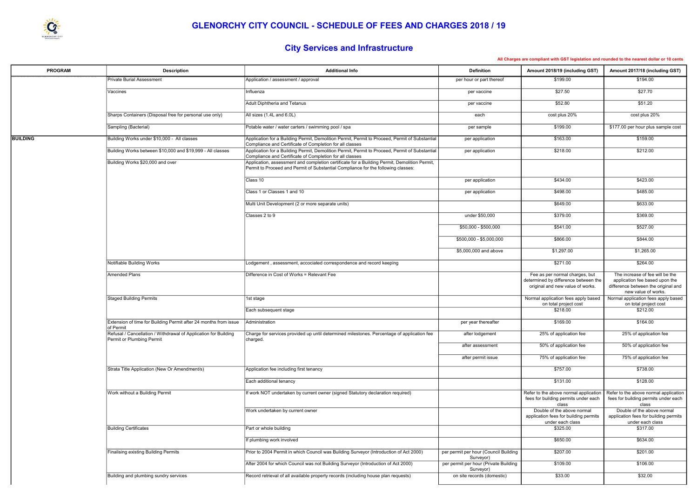

# City Services and Infrastructure

| <b>PROGRAM</b>  | <b>Description</b>                                                                           | <b>Additional Info</b>                                                                                                                                                                                                                        | <b>Definition</b>                                  | Amount 2018/19 (including GST)                                                                             | Amount 2017/18 (including GST)                                                                                                  |
|-----------------|----------------------------------------------------------------------------------------------|-----------------------------------------------------------------------------------------------------------------------------------------------------------------------------------------------------------------------------------------------|----------------------------------------------------|------------------------------------------------------------------------------------------------------------|---------------------------------------------------------------------------------------------------------------------------------|
|                 | <b>Private Burial Assessment</b>                                                             | Application / assessment / approval                                                                                                                                                                                                           | per hour or part thereof                           | \$199.00                                                                                                   | \$194.00                                                                                                                        |
|                 | Vaccines                                                                                     | Influenza                                                                                                                                                                                                                                     | per vaccine                                        | \$27.50                                                                                                    | \$27.70                                                                                                                         |
|                 |                                                                                              | Adult Diphtheria and Tetanus                                                                                                                                                                                                                  | per vaccine                                        | \$52.80                                                                                                    | \$51.20                                                                                                                         |
|                 | Sharps Containers (Disposal free for personal use only)                                      | All sizes (1.4L and 6.0L)                                                                                                                                                                                                                     | each                                               | cost plus 20%                                                                                              | cost plus 20%                                                                                                                   |
|                 | Sampling (Bacterial)                                                                         | Potable water / water carters / swimming pool / spa                                                                                                                                                                                           | per sample                                         | \$199.00                                                                                                   | \$177.00 per hour plus sample cost                                                                                              |
| <b>BUILDING</b> | Building Works under \$10,000 - All classes                                                  | Application for a Building Permit, Demolition Permit, Permit to Proceed, Permit of Substantial                                                                                                                                                | per application                                    | \$163.00                                                                                                   | \$159.00                                                                                                                        |
|                 | Building Works between \$10,000 and \$19,999 - All classes                                   | Compliance and Certificate of Completion for all classes<br>Application for a Building Permit, Demolition Permit, Permit to Proceed, Permit of Substantial                                                                                    | per application                                    | \$218.00                                                                                                   | \$212.00                                                                                                                        |
|                 | Building Works \$20,000 and over                                                             | Compliance and Certificate of Completion for all classes<br>Application, assessment and completion certificate for a Building Permit, Demolition Permit,<br>Permit to Proceed and Permit of Substantial Compliance for the following classes: |                                                    |                                                                                                            |                                                                                                                                 |
|                 |                                                                                              | Class 10                                                                                                                                                                                                                                      | per application                                    | \$434.00                                                                                                   | \$423.00                                                                                                                        |
|                 |                                                                                              | Class 1 or Classes 1 and 10                                                                                                                                                                                                                   | per application                                    | \$498.00                                                                                                   | \$485.00                                                                                                                        |
|                 |                                                                                              | Multi Unit Development (2 or more separate units)                                                                                                                                                                                             |                                                    | \$649.00                                                                                                   | \$633.00                                                                                                                        |
|                 |                                                                                              | Classes 2 to 9                                                                                                                                                                                                                                | under \$50,000                                     | \$379.00                                                                                                   | \$369.00                                                                                                                        |
|                 |                                                                                              |                                                                                                                                                                                                                                               | \$50,000 - \$500,000                               | \$541.00                                                                                                   | \$527.00                                                                                                                        |
|                 |                                                                                              |                                                                                                                                                                                                                                               | \$500,000 - \$5,000,000                            | \$866.00                                                                                                   | \$844.00                                                                                                                        |
|                 |                                                                                              |                                                                                                                                                                                                                                               | \$5,000,000 and above                              | \$1,297.00                                                                                                 | \$1,265.00                                                                                                                      |
|                 | Notifiable Building Works                                                                    | Lodgement, assessment, accociated correspondence and record keeping                                                                                                                                                                           |                                                    | \$271.00                                                                                                   | \$264.00                                                                                                                        |
|                 | Amended Plans                                                                                | Difference in Cost of Works = Relevant Fee                                                                                                                                                                                                    |                                                    | Fee as per normal charges, but<br>determined by difference between the<br>original and new value of works. | The increase of fee will be the<br>application fee based upon the<br>difference between the original and<br>new value of works. |
|                 | <b>Staged Building Permits</b>                                                               | 1st stage                                                                                                                                                                                                                                     |                                                    | Normal application fees apply based<br>on total project cost                                               | Normal application fees apply based<br>on total project cost                                                                    |
|                 |                                                                                              | Each subsequent stage                                                                                                                                                                                                                         |                                                    | \$218.00                                                                                                   | \$212.00                                                                                                                        |
|                 | Extension of time for Building Permit after 24 months from issue<br>of Permit                | Administration                                                                                                                                                                                                                                | per year thereafter                                | \$169.00                                                                                                   | \$164.00                                                                                                                        |
|                 | Refusal / Cancellation / Withdrawal of Application for Building<br>Permit or Plumbing Permit | Charge for services provided up until determined milestones. Percentage of application fee<br>charged.                                                                                                                                        | after lodgement                                    | 25% of application fee                                                                                     | 25% of application fee                                                                                                          |
|                 |                                                                                              |                                                                                                                                                                                                                                               | after assessment                                   | 50% of application fee                                                                                     | 50% of application fee                                                                                                          |
|                 |                                                                                              |                                                                                                                                                                                                                                               | after permit issue                                 | 75% of application fee                                                                                     | 75% of application fee                                                                                                          |
|                 | Strata Title Application (New Or Amendment/s)                                                | Application fee including first tenancy                                                                                                                                                                                                       |                                                    | \$757.00                                                                                                   | \$738.00                                                                                                                        |
|                 |                                                                                              | Each additional tenancy                                                                                                                                                                                                                       |                                                    | \$131.00                                                                                                   | \$128.00                                                                                                                        |
|                 | Work without a Building Permit                                                               | If work NOT undertaken by current owner (signed Statutory declaration required)                                                                                                                                                               |                                                    | Refer to the above normal application<br>fees for building permits under each                              | Refer to the above normal application<br>fees for building permits under each                                                   |
|                 |                                                                                              | Work undertaken by current owner                                                                                                                                                                                                              |                                                    | class<br>Double of the above normal                                                                        | class<br>Double of the above normal                                                                                             |
|                 |                                                                                              |                                                                                                                                                                                                                                               |                                                    | application fees for building permits<br>under each class                                                  | application fees for building permits<br>under each class                                                                       |
|                 | <b>Building Certificates</b>                                                                 | Part or whole building                                                                                                                                                                                                                        |                                                    | \$325.00                                                                                                   | \$317.00                                                                                                                        |
|                 |                                                                                              | If plumbing work involved                                                                                                                                                                                                                     |                                                    | \$650.00                                                                                                   | \$634.00                                                                                                                        |
|                 | <b>Finalising existing Building Permits</b>                                                  | Prior to 2004 Permit in which Council was Building Surveyor (Introduction of Act 2000)                                                                                                                                                        | per permit per hour (Council Building<br>Surveyor) | \$207.00                                                                                                   | \$201.00                                                                                                                        |
|                 |                                                                                              | After 2004 for which Council was not Building Surveyor (Introduction of Act 2000)                                                                                                                                                             | per permit per hour (Private Building<br>Surveyor) | \$109.00                                                                                                   | \$106.00                                                                                                                        |
|                 | Building and plumbing sundry services                                                        | Record retrieval of all available property records (including house plan requests)                                                                                                                                                            | on site records (domestic)                         | \$33.00                                                                                                    | \$32.00                                                                                                                         |

| compliant with GST legislation and rounded to the nearest dollar or 10 cents |  |  |  |  |  |
|------------------------------------------------------------------------------|--|--|--|--|--|
|                                                                              |  |  |  |  |  |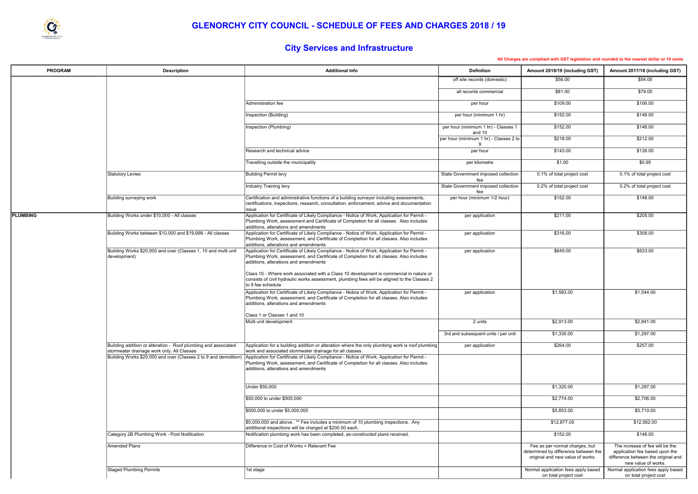

## GLENORCHY CITY COUNCIL - SCHEDULE OF FEES AND CHARGES 2018 / 19

# City Services and Infrastructure

| <b>PROGRAM</b>  | <b>Description</b>                                                                                             | <b>Additional Info</b>                                                                                                                                                                                                                                                                                                                                                                                                                          | <b>Definition</b>                             | Amount 2018/19 (including GST)                                                                             | Amount 2017/18 (including GST)                                                                                                  |
|-----------------|----------------------------------------------------------------------------------------------------------------|-------------------------------------------------------------------------------------------------------------------------------------------------------------------------------------------------------------------------------------------------------------------------------------------------------------------------------------------------------------------------------------------------------------------------------------------------|-----------------------------------------------|------------------------------------------------------------------------------------------------------------|---------------------------------------------------------------------------------------------------------------------------------|
|                 |                                                                                                                |                                                                                                                                                                                                                                                                                                                                                                                                                                                 | off site records (domestic)                   | \$56.00                                                                                                    | \$54.00                                                                                                                         |
|                 |                                                                                                                |                                                                                                                                                                                                                                                                                                                                                                                                                                                 | all records commercial                        | \$81.00                                                                                                    | \$79.00                                                                                                                         |
|                 |                                                                                                                | Administration fee                                                                                                                                                                                                                                                                                                                                                                                                                              | per hour                                      | \$109.00                                                                                                   | \$106.00                                                                                                                        |
|                 |                                                                                                                | Inspection (Building)                                                                                                                                                                                                                                                                                                                                                                                                                           | per hour (minimum 1 hr)                       | \$152.00                                                                                                   | \$148.00                                                                                                                        |
|                 |                                                                                                                | Inspection (Plumbing)                                                                                                                                                                                                                                                                                                                                                                                                                           | per hour (minimum 1 hr) - Classes 1<br>and 10 | \$152.00                                                                                                   | \$148.00                                                                                                                        |
|                 |                                                                                                                |                                                                                                                                                                                                                                                                                                                                                                                                                                                 | per hour (minimum 1 hr) - Classes 2 to        | \$218.00                                                                                                   | \$212.00                                                                                                                        |
|                 |                                                                                                                | Research and technical advice                                                                                                                                                                                                                                                                                                                                                                                                                   | per hour                                      | \$143.00                                                                                                   | \$139.00                                                                                                                        |
|                 |                                                                                                                | Travelling outside the municipality                                                                                                                                                                                                                                                                                                                                                                                                             | per kilometre                                 | \$1.00                                                                                                     | \$0.95                                                                                                                          |
|                 | Statutory Levies                                                                                               | <b>Building Permit levy</b>                                                                                                                                                                                                                                                                                                                                                                                                                     | State Government imposed collection<br>fee    | 0.1% of total project cost                                                                                 | 0.1% of total project cost                                                                                                      |
|                 |                                                                                                                | Industry Training levy                                                                                                                                                                                                                                                                                                                                                                                                                          | State Government imposed collection<br>fee    | 0.2% of total project cost                                                                                 | 0.2% of total project cost                                                                                                      |
|                 | Building surveying work                                                                                        | Certification and administrative functions of a building surveyor including assessments,<br>certifications, inspections, research, consultation, enforcement, advice and documentation<br>lissue                                                                                                                                                                                                                                                | per hour (minimum 1/2 hour)                   | \$152.00                                                                                                   | \$148.00                                                                                                                        |
| <b>PLUMBING</b> | Building Works under \$10,000 - All classes                                                                    | Application for Certificate of Likely Compliance - Notice of Work, Application for Permit -<br>Plumbing Work, assessment and Certificate of Completion for all classes. Also includes<br>additions, alterations and amendments                                                                                                                                                                                                                  | per application                               | \$211.00                                                                                                   | \$205.00                                                                                                                        |
|                 | Building Works between \$10,000 and \$19,999 - All classes                                                     | Application for Certificate of Likely Compliance - Notice of Work, Application for Permit -<br>Plumbing Work, assessment, and Certificate of Completion for all classes. Also includes<br>additions, alterations and amendments                                                                                                                                                                                                                 | per application                               | \$316.00                                                                                                   | \$308.00                                                                                                                        |
|                 | Building Works \$20,000 and over (Classes 1, 10 and multi unit<br>development)                                 | Application for Certificate of Likely Compliance - Notice of Work, Application for Permit -<br>Plumbing Work, assessment, and Certificate of Completion for all classes. Also includes<br>additions, alterations and amendments<br>Class 10 - Where work associated with a Class 10 development is commercial in nature or<br>consists of civil hydraulic works assessment, plumbing fees will be aligned to the Classes 2<br>to 9 fee schedule | per application                               | \$649.00                                                                                                   | \$633.00                                                                                                                        |
|                 |                                                                                                                | Application for Certificate of Likely Compliance - Notice of Work, Application for Permit -<br>Plumbing Work, assessment, and Certificate of Completion for all classes. Also includes<br>additions, alterations and amendments                                                                                                                                                                                                                 | per application                               | \$1,583.00                                                                                                 | \$1,544.00                                                                                                                      |
|                 |                                                                                                                | Class 1 or Classes 1 and 10<br>Multi unit development                                                                                                                                                                                                                                                                                                                                                                                           | 2 units                                       | \$2,913.00                                                                                                 | \$2,841.00                                                                                                                      |
|                 |                                                                                                                |                                                                                                                                                                                                                                                                                                                                                                                                                                                 | 3rd and subsequent units / per unit           | \$1,330.00                                                                                                 | \$1,297.00                                                                                                                      |
|                 | Building addition or alteration - Roof plumbing and associated                                                 | Application for a building addition or alteration where the only plumbing work is roof plumbing                                                                                                                                                                                                                                                                                                                                                 | per application                               | \$264.00                                                                                                   | \$257.00                                                                                                                        |
|                 | stormwater drainage work only. All Classes<br>Building Works \$20,000 and over (Classes 2 to 9 and demolition) | work and associated stormwater drainage for all classes.<br>Application for Certificate of Likely Compliance - Notice of Work, Application for Permit -                                                                                                                                                                                                                                                                                         |                                               |                                                                                                            |                                                                                                                                 |
|                 |                                                                                                                | Plumbing Work, assessment, and Certificate of Completion for all classes. Also includes<br>additions, alterations and amendments                                                                                                                                                                                                                                                                                                                |                                               |                                                                                                            |                                                                                                                                 |
|                 |                                                                                                                | Under \$50,000                                                                                                                                                                                                                                                                                                                                                                                                                                  |                                               | \$1,320.00                                                                                                 | \$1,287.00                                                                                                                      |
|                 |                                                                                                                | \$50,000 to under \$500,000                                                                                                                                                                                                                                                                                                                                                                                                                     |                                               | \$2,774.00                                                                                                 | \$2,706.00                                                                                                                      |
|                 |                                                                                                                | \$500,000 to under \$5,000,000                                                                                                                                                                                                                                                                                                                                                                                                                  |                                               | \$5,853.00                                                                                                 | \$5,710.00                                                                                                                      |
|                 |                                                                                                                | \$5,000,000 and above. ** Fee includes a minimum of 10 plumbing inspections. Any<br>additional inspections will be charged at \$200.00 each.                                                                                                                                                                                                                                                                                                    |                                               | \$12,877.00                                                                                                | \$12,562.00                                                                                                                     |
|                 | Category 2B Plumbing Work - Post Notification                                                                  | Notification plumbing work has been completed, as-constructed plans received.                                                                                                                                                                                                                                                                                                                                                                   |                                               | \$152.00                                                                                                   | \$148.00                                                                                                                        |
|                 | Amended Plans                                                                                                  | Difference in Cost of Works = Relevant Fee                                                                                                                                                                                                                                                                                                                                                                                                      |                                               | Fee as per normal charges, but<br>determined by difference between the<br>original and new value of works. | The increase of fee will be the<br>application fee based upon the<br>difference between the original and<br>new value of works. |
|                 | Staged Plumbing Permits                                                                                        | 1st stage                                                                                                                                                                                                                                                                                                                                                                                                                                       |                                               | Normal application fees apply based<br>on total project cost                                               | Normal application fees apply based<br>on total project cost                                                                    |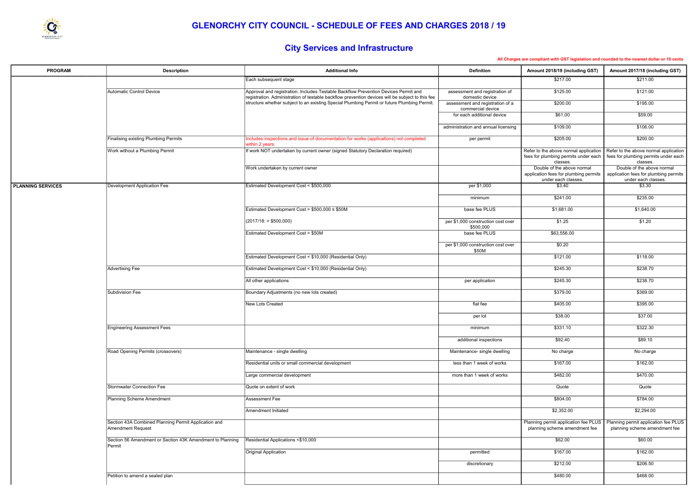

# City Services and Infrastructure

| <b>PROGRAM</b>           | <b>Description</b>                                                               | <b>Additional Info</b>                                                                                                                                                                  | <b>Definition</b>                                     | Amount 2018/19 (including GST)                                                             | Amount 2017/18 (including GST)                                                             |
|--------------------------|----------------------------------------------------------------------------------|-----------------------------------------------------------------------------------------------------------------------------------------------------------------------------------------|-------------------------------------------------------|--------------------------------------------------------------------------------------------|--------------------------------------------------------------------------------------------|
|                          |                                                                                  | Each subsequent stage                                                                                                                                                                   |                                                       | \$217.00                                                                                   | \$211.00                                                                                   |
|                          | Automatic Control Device                                                         | Approval and registration. Includes Testable Backflow Prevention Devices Permit and<br>registration. Administration of testable backflow prevention devices will be subject to this fee | assessment and registration of<br>domestic device     | \$125.00                                                                                   | \$121.00                                                                                   |
|                          |                                                                                  | structure whether subject to an existing Special Plumbing Permit or future Plumbing Permit.                                                                                             | assessment and registration of a<br>commercial device | \$200.00                                                                                   | \$195.00                                                                                   |
|                          |                                                                                  |                                                                                                                                                                                         | for each additional device                            | \$61.00                                                                                    | \$59.00                                                                                    |
|                          |                                                                                  |                                                                                                                                                                                         | administration and annual licensing                   | \$109.00                                                                                   | \$106.00                                                                                   |
|                          | <b>Finalising existing Plumbing Permits</b>                                      | Includes inspections and issue of documentation for works (applications) not completed<br>within 2 years.                                                                               | per permit                                            | \$205.00                                                                                   | \$200.00                                                                                   |
|                          | Work without a Plumbing Permit                                                   | If work NOT undertaken by current owner (signed Statutory Declaration required)                                                                                                         |                                                       | Refer to the above normal application<br>fees for plumbing permits under each<br>classes.  | Refer to the above normal application<br>fees for plumbing permits under each<br>classes.  |
|                          |                                                                                  | Work undertaken by current owner                                                                                                                                                        |                                                       | Double of the above normal<br>application fees for plumbing permits<br>under each classes. | Double of the above normal<br>application fees for plumbing permits<br>under each classes. |
| <b>PLANNING SERVICES</b> | Development Application Fee                                                      | Estimated Development Cost < \$500,000                                                                                                                                                  | per \$1,000                                           | \$3.40                                                                                     | \$3.30                                                                                     |
|                          |                                                                                  |                                                                                                                                                                                         | minimum                                               | \$241.00                                                                                   | \$235.00                                                                                   |
|                          |                                                                                  | Estimated Development Cost > $$500,000 \le $50M$                                                                                                                                        | base fee PLUS                                         | \$1,681.00                                                                                 | \$1,640.00                                                                                 |
|                          |                                                                                  | (2017/18: > \$500,000)                                                                                                                                                                  | per \$1,000 construction cost over<br>\$500,000       | \$1.25                                                                                     | \$1.20                                                                                     |
|                          |                                                                                  | Estimated Development Cost > \$50M                                                                                                                                                      | base fee PLUS                                         | \$63,556.00                                                                                |                                                                                            |
|                          |                                                                                  |                                                                                                                                                                                         | per \$1,000 construction cost over<br>\$50M           | \$0.20                                                                                     |                                                                                            |
|                          |                                                                                  | Estimated Development Cost < \$10,000 (Residential Only)                                                                                                                                |                                                       | \$121.00                                                                                   | \$118.00                                                                                   |
|                          | <b>Advertising Fee</b>                                                           | Estimated Development Cost < \$10,000 (Residential Only)                                                                                                                                |                                                       | \$245.30                                                                                   | \$238.70                                                                                   |
|                          |                                                                                  | All other applications                                                                                                                                                                  | per application                                       | \$245.30                                                                                   | \$238.70                                                                                   |
|                          | Subdivision Fee                                                                  | Boundary Adjustments (no new lots created)                                                                                                                                              |                                                       | \$379.00                                                                                   | \$369.00                                                                                   |
|                          |                                                                                  | New Lots Created                                                                                                                                                                        | flat fee                                              | \$405.00                                                                                   | \$395.00                                                                                   |
|                          |                                                                                  |                                                                                                                                                                                         | per lot                                               | \$38.00                                                                                    | \$37.00                                                                                    |
|                          | Engineering Assessment Fees                                                      |                                                                                                                                                                                         | minimum                                               | \$331.10                                                                                   | \$322.30                                                                                   |
|                          |                                                                                  |                                                                                                                                                                                         | additional inspections                                | \$92.40                                                                                    | \$89.10                                                                                    |
|                          | Road Opening Permits (crossovers)                                                | Maintenance - single dwelling                                                                                                                                                           | Maintenance- single dwelling                          | No charge                                                                                  | No charge                                                                                  |
|                          |                                                                                  | Residential units or small commercial development                                                                                                                                       | less than 1 week of works                             | \$167.00                                                                                   | \$162.00                                                                                   |
|                          |                                                                                  | Large commercial development                                                                                                                                                            | more than 1 week of works                             | \$482.00                                                                                   | \$470.00                                                                                   |
|                          | Stormwater Connection Fee                                                        | Quote on extent of work                                                                                                                                                                 |                                                       | Quote                                                                                      | Quote                                                                                      |
|                          | <b>Planning Scheme Amendment</b>                                                 | Assessment Fee                                                                                                                                                                          |                                                       | \$804.00                                                                                   | \$784.00                                                                                   |
|                          |                                                                                  | Amendment Initiated                                                                                                                                                                     |                                                       | \$2,352.00                                                                                 | \$2,294.00                                                                                 |
|                          | Section 43A Combined Planning Permit Application and<br><b>Amendment Request</b> |                                                                                                                                                                                         |                                                       | Planning permit application fee PLUS<br>planning scheme amendment fee                      | Planning permit application fee PLUS<br>planning scheme amendment fee                      |
|                          | Section 56 Amendment or Section 43K Amendment to Planning<br>Permit              | Residential Applications <\$10,000                                                                                                                                                      |                                                       | \$62.00                                                                                    | \$60.00                                                                                    |
|                          |                                                                                  | Original Application                                                                                                                                                                    | permitted                                             | \$167.00                                                                                   | \$162.00                                                                                   |
|                          |                                                                                  |                                                                                                                                                                                         | discretionary                                         | \$212.00                                                                                   | \$206.50                                                                                   |
|                          | Petition to amend a sealed plan                                                  |                                                                                                                                                                                         |                                                       | \$480.00                                                                                   | \$468.00                                                                                   |

|  | compliant with GST legislation and rounded to the nearest dollar or 10 cents |  |  |
|--|------------------------------------------------------------------------------|--|--|
|  |                                                                              |  |  |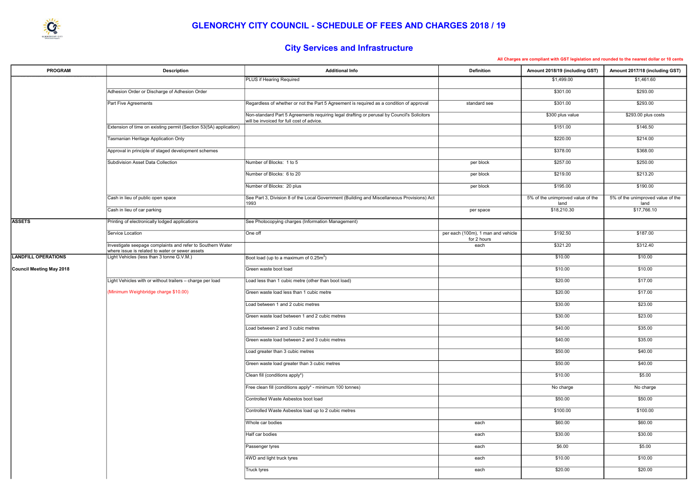

# City Services and Infrastructure

| <b>PROGRAM</b>             | <b>Description</b>                                                                           | <b>Additional Info</b>                                                                                                                  | <b>Definition</b>                                 | Amount 2018/19 (including GST)            | Amount 2017/18 (including GST)            |
|----------------------------|----------------------------------------------------------------------------------------------|-----------------------------------------------------------------------------------------------------------------------------------------|---------------------------------------------------|-------------------------------------------|-------------------------------------------|
|                            |                                                                                              | <b>PLUS if Hearing Required</b>                                                                                                         |                                                   | \$1,499.00                                | \$1,461.60                                |
|                            | Adhesion Order or Discharge of Adhesion Order                                                |                                                                                                                                         |                                                   | \$301.00                                  | \$293.00                                  |
|                            | Part Five Agreements                                                                         | Regardless of whether or not the Part 5 Agreement is required as a condition of approval                                                | standard see                                      | \$301.00                                  | \$293.00                                  |
|                            |                                                                                              | Non-standard Part 5 Agreements requiring legal drafting or perusal by Council's Solicitors<br>will be invoiced for full cost of advice. |                                                   | \$300 plus value                          | \$293.00 plus costs                       |
|                            | Extension of time on existing permit (Section 53(5A) application)                            |                                                                                                                                         |                                                   | \$151.00                                  | \$146.50                                  |
|                            | Tasmanian Heritage Application Only                                                          |                                                                                                                                         |                                                   | \$220.00                                  | \$214.00                                  |
|                            | Approval in principle of staged development schemes                                          |                                                                                                                                         |                                                   | \$378.00                                  | \$368.00                                  |
|                            | Subdivision Asset Data Collection                                                            | Number of Blocks: 1 to 5                                                                                                                | per block                                         | \$257.00                                  | \$250.00                                  |
|                            |                                                                                              | Number of Blocks: 6 to 20                                                                                                               | per block                                         | \$219.00                                  | \$213.20                                  |
|                            |                                                                                              | Number of Blocks: 20 plus                                                                                                               | per block                                         | \$195.00                                  | \$190.00                                  |
|                            | Cash in lieu of public open space                                                            | See Part 3, Division 8 of the Local Government (Building and Miscellaneous Provisions) Act<br>1993                                      |                                                   | 5% of the unimproved value of the<br>land | 5% of the unimproved value of the<br>land |
|                            | Cash in lieu of car parking                                                                  |                                                                                                                                         | per space                                         | \$18,210.30                               | \$17,766.10                               |
| <b>ASSETS</b>              | Printing of electronically lodged applications                                               | See Photocopying charges (Information Management)                                                                                       |                                                   |                                           |                                           |
|                            | Service Location                                                                             | One off                                                                                                                                 | per each (100m), 1 man and vehicle<br>for 2 hours | \$192.50                                  | \$187.00                                  |
|                            | Investigate seepage complaints and refer to Southern Water                                   |                                                                                                                                         | each                                              | \$321.20                                  | \$312.40                                  |
| <b>LANDFILL OPERATIONS</b> | where issue is related to water or sewer assets<br>Light Vehicles (less than 3 tonne G.V.M.) | Boot load (up to a maximum of 0.25 $\text{m}^3$ )                                                                                       |                                                   | \$10.00                                   | \$10.00                                   |
| Council Meeting May 2018   |                                                                                              | Green waste boot load                                                                                                                   |                                                   | \$10.00                                   | \$10.00                                   |
|                            | Light Vehicles with or without trailers - charge per load                                    | Load less than 1 cubic metre (other than boot load)                                                                                     |                                                   | \$20.00                                   | \$17.00                                   |
|                            | (Minimum Weighbridge charge \$10.00)                                                         | Green waste load less than 1 cubic metre                                                                                                |                                                   | \$20.00                                   | \$17.00                                   |
|                            |                                                                                              | Load between 1 and 2 cubic metres                                                                                                       |                                                   | \$30.00                                   | \$23.00                                   |
|                            |                                                                                              | Green waste load between 1 and 2 cubic metres                                                                                           |                                                   | \$30.00                                   | \$23.00                                   |
|                            |                                                                                              | Load between 2 and 3 cubic metres                                                                                                       |                                                   | \$40.00                                   | \$35.00                                   |
|                            |                                                                                              | Green waste load between 2 and 3 cubic metres                                                                                           |                                                   | \$40.00                                   | \$35.00                                   |
|                            |                                                                                              | Load greater than 3 cubic metres                                                                                                        |                                                   | \$50.00                                   | \$40.00                                   |
|                            |                                                                                              | Green waste load greater than 3 cubic metres                                                                                            |                                                   | \$50.00                                   | \$40.00                                   |
|                            |                                                                                              | Clean fill (conditions apply*)                                                                                                          |                                                   | \$10.00                                   | \$5.00                                    |
|                            |                                                                                              | Free clean fill (conditions apply* - minimum 100 tonnes)                                                                                |                                                   | No charge                                 | No charge                                 |
|                            |                                                                                              | Controlled Waste Asbestos boot load                                                                                                     |                                                   | \$50.00                                   | \$50.00                                   |
|                            |                                                                                              | Controlled Waste Asbestos load up to 2 cubic metres                                                                                     |                                                   | \$100.00                                  | \$100.00                                  |
|                            |                                                                                              | Whole car bodies                                                                                                                        | each                                              | \$60.00                                   | \$60.00                                   |
|                            |                                                                                              | Half car bodies                                                                                                                         | each                                              | \$30.00                                   | \$30.00                                   |
|                            |                                                                                              | Passenger tyres                                                                                                                         | each                                              | \$6.00                                    | \$5.00                                    |
|                            |                                                                                              | 4WD and light truck tyres                                                                                                               | each                                              | \$10.00                                   | \$10.00                                   |
|                            |                                                                                              | Truck tyres                                                                                                                             | each                                              | \$20.00                                   | \$20.00                                   |
|                            |                                                                                              |                                                                                                                                         |                                                   |                                           |                                           |

| compliant with GST legislation and rounded to the nearest dollar or 10 cents |
|------------------------------------------------------------------------------|
|------------------------------------------------------------------------------|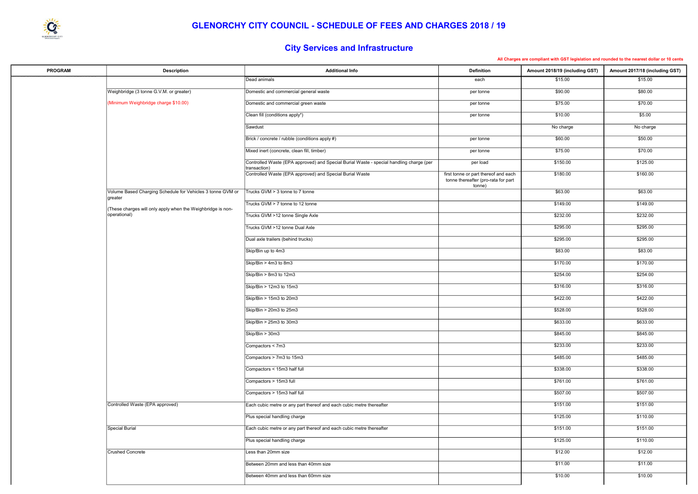|  | All Charges are compliant with GST legislation and rounded to the nearest dollar or 10 cents |  |  |  |  |
|--|----------------------------------------------------------------------------------------------|--|--|--|--|
|  |                                                                                              |  |  |  |  |



# City Services and Infrastructure

| <b>PROGRAM</b> | <b>Description</b>                                                    | <b>Additional Info</b>                                                                                  | <b>Definition</b>                                                                     | Amount 2018/19 (including GST) | Amount 2017/18 (including GST) |
|----------------|-----------------------------------------------------------------------|---------------------------------------------------------------------------------------------------------|---------------------------------------------------------------------------------------|--------------------------------|--------------------------------|
|                |                                                                       | Dead animals                                                                                            | each                                                                                  | \$15.00                        | \$15.00                        |
|                | Weighbridge (3 tonne G.V.M. or greater)                               | Domestic and commercial general waste                                                                   | per tonne                                                                             | \$90.00                        | \$80.00                        |
|                | (Minimum Weighbridge charge \$10.00)                                  | Domestic and commercial green waste                                                                     | per tonne                                                                             | \$75.00                        | \$70.00                        |
|                |                                                                       | Clean fill (conditions apply*)                                                                          | per tonne                                                                             | \$10.00                        | \$5.00                         |
|                |                                                                       | Sawdust                                                                                                 |                                                                                       | No charge                      | No charge                      |
|                |                                                                       | Brick / concrete / rubble (conditions apply #)                                                          | per tonne                                                                             | \$60.00                        | \$50.00                        |
|                |                                                                       | Mixed inert (concrete, clean fill, timber)                                                              | per tonne                                                                             | \$75.00                        | \$70.00                        |
|                |                                                                       | Controlled Waste (EPA approved) and Special Burial Waste - special handling charge (per<br>transaction) | per load                                                                              | \$150.00                       | \$125.00                       |
|                |                                                                       | Controlled Waste (EPA approved) and Special Burial Waste                                                | first tonne or part thereof and each<br>tonne thereafter (pro-rata for part<br>tonne) | \$180.00                       | \$160.00                       |
|                | Volume Based Charging Schedule for Vehicles 3 tonne GVM or<br>greater | Trucks GVM > 3 tonne to 7 tonne                                                                         |                                                                                       | \$63.00                        | \$63.00                        |
|                | These charges will only apply when the Weighbridge is non-            | Trucks GVM > 7 tonne to 12 tonne                                                                        |                                                                                       | \$149.00                       | \$149.00                       |
|                | operational)                                                          | Trucks GVM >12 tonne Single Axle                                                                        |                                                                                       | \$232.00                       | \$232.00                       |
|                |                                                                       | Trucks GVM >12 tonne Dual Axle                                                                          |                                                                                       | \$295.00                       | \$295.00                       |
|                |                                                                       | Dual axle trailers (behind trucks)                                                                      |                                                                                       | \$295.00                       | \$295.00                       |
|                |                                                                       | Skip/Bin up to 4m3                                                                                      |                                                                                       | \$83.00                        | \$83.00                        |
|                |                                                                       | Skip/Bin > 4m3 to 8m3                                                                                   |                                                                                       | \$170.00                       | \$170.00                       |
|                |                                                                       | Skip/Bin > 8m3 to 12m3                                                                                  |                                                                                       | \$254.00                       | \$254.00                       |
|                |                                                                       | Skip/Bin > 12m3 to 15m3                                                                                 |                                                                                       | \$316.00                       | \$316.00                       |
|                |                                                                       | Skip/Bin > 15m3 to 20m3                                                                                 |                                                                                       | \$422.00                       | \$422.00                       |
|                |                                                                       | Skip/Bin > 20m3 to 25m3                                                                                 |                                                                                       | \$528.00                       | \$528.00                       |
|                |                                                                       | Skip/Bin > 25m3 to 30m3                                                                                 |                                                                                       | \$633.00                       | \$633.00                       |
|                |                                                                       | $\overline{\text{Skip/Bin}} > 30 \text{m}3$                                                             |                                                                                       | \$845.00                       | \$845.00                       |
|                |                                                                       | Compactors < 7m3                                                                                        |                                                                                       | \$233.00                       | \$233.00                       |
|                |                                                                       | Compactors > 7m3 to 15m3                                                                                |                                                                                       | \$485.00                       | \$485.00                       |
|                |                                                                       | Compactors < 15m3 half full                                                                             |                                                                                       | \$338.00                       | \$338.00                       |
|                |                                                                       | Compactors > 15m3 full                                                                                  |                                                                                       | \$761.00                       | \$761.00                       |
|                |                                                                       | Compactors > 15m3 half full                                                                             |                                                                                       | \$507.00                       | \$507.00                       |
|                | Controlled Waste (EPA approved)                                       | Each cubic metre or any part thereof and each cubic metre thereafter                                    |                                                                                       | \$151.00                       | \$151.00                       |
|                |                                                                       | Plus special handling charge                                                                            |                                                                                       | \$125.00                       | \$110.00                       |
|                | Special Burial                                                        | Each cubic metre or any part thereof and each cubic metre thereafter                                    |                                                                                       | \$151.00                       | \$151.00                       |
|                |                                                                       | Plus special handling charge                                                                            |                                                                                       | \$125.00                       | \$110.00                       |
|                | Crushed Concrete                                                      | Less than 20mm size                                                                                     |                                                                                       | \$12.00                        | \$12.00                        |
|                |                                                                       | Between 20mm and less than 40mm size                                                                    |                                                                                       | \$11.00                        | \$11.00                        |
|                |                                                                       | Between 40mm and less than 60mm size                                                                    |                                                                                       | \$10.00                        | \$10.00                        |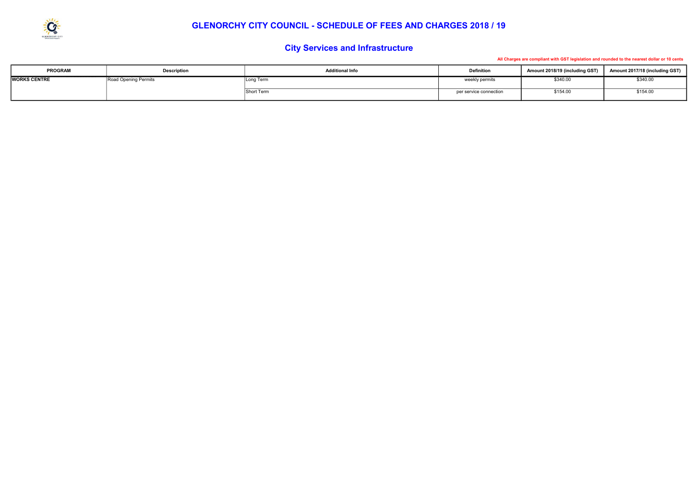

#### GLENORCHY CITY COUNCIL - SCHEDULE OF FEES AND CHARGES 2018 / 19

| <b>PROGRAM</b>      | <b>Description</b>   | <b>Additional Info</b> | <b>Definition</b>      | Amount 2018/19 (including GST) | Amount 2017/18 (including GST) |
|---------------------|----------------------|------------------------|------------------------|--------------------------------|--------------------------------|
| <b>WORKS CENTRE</b> | Road Opening Permits | Long Term              | weekly permits         | \$340.00                       | \$340.00                       |
|                     |                      | Short Term             | per service connection | \$154.00                       | \$154.00                       |

# City Services and Infrastructure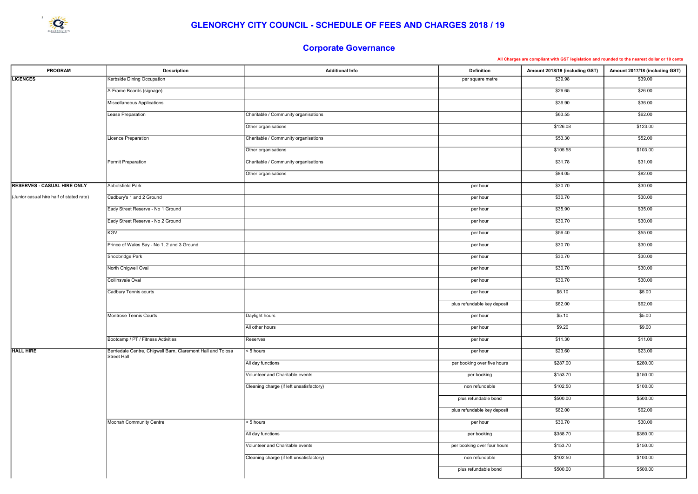| <b>PROGRAM</b>                           | <b>Description</b>                                                         | <b>Additional Info</b>                   | <b>Definition</b>           | Amount 2018/19 (including GST) | Amount 2017/18 (including GST) |
|------------------------------------------|----------------------------------------------------------------------------|------------------------------------------|-----------------------------|--------------------------------|--------------------------------|
| <b>LICENCES</b>                          | Kerbside Dining Occupation                                                 |                                          | per square metre            | \$39.98                        | \$39.00                        |
|                                          | A-Frame Boards (signage)                                                   |                                          |                             | \$26.65                        | \$26.00                        |
|                                          | Miscellaneous Applications                                                 |                                          |                             | \$36.90                        | \$36.00                        |
|                                          | Lease Preparation                                                          | Charitable / Community organisations     |                             | \$63.55                        | \$62.00                        |
|                                          |                                                                            | Other organisations                      |                             | \$126.08                       | \$123.00                       |
|                                          | Licence Preparation                                                        | Charitable / Community organisations     |                             | \$53.30                        | \$52.00                        |
|                                          |                                                                            | Other organisations                      |                             | \$105.58                       | \$103.00                       |
|                                          | Permit Preparation                                                         | Charitable / Community organisations     |                             | \$31.78                        | \$31.00                        |
|                                          |                                                                            | Other organisations                      |                             | \$84.05                        | \$82.00                        |
| <b>RESERVES - CASUAL HIRE ONLY</b>       | Abbotsfield Park                                                           |                                          | per hour                    | \$30.70                        | \$30.00                        |
| (Junior casual hire half of stated rate) | Cadbury's 1 and 2 Ground                                                   |                                          | per hour                    | \$30.70                        | \$30.00                        |
|                                          | Eady Street Reserve - No 1 Ground                                          |                                          | per hour                    | \$35.90                        | \$35.00                        |
|                                          | Eady Street Reserve - No 2 Ground                                          |                                          | per hour                    | \$30.70                        | \$30.00                        |
|                                          | <b>KGV</b>                                                                 |                                          | per hour                    | \$56.40                        | \$55.00                        |
|                                          | Prince of Wales Bay - No 1, 2 and 3 Ground                                 |                                          | per hour                    | \$30.70                        | \$30.00                        |
|                                          | Shoobridge Park                                                            |                                          | per hour                    | \$30.70                        | \$30.00                        |
|                                          | North Chigwell Oval                                                        |                                          | per hour                    | \$30.70                        | \$30.00                        |
|                                          | <b>Collinsvale Oval</b>                                                    |                                          | per hour                    | \$30.70                        | \$30.00                        |
|                                          | Cadbury Tennis courts                                                      |                                          | per hour                    | \$5.10                         | \$5.00                         |
|                                          |                                                                            |                                          | plus refundable key deposit | \$62.00                        | \$62.00                        |
|                                          | Montrose Tennis Courts                                                     | Daylight hours                           | per hour                    | \$5.10                         | \$5.00                         |
|                                          |                                                                            | All other hours                          | per hour                    | \$9.20                         | \$9.00                         |
|                                          | Bootcamp / PT / Fitness Activities                                         | Reserves                                 | per hour                    | \$11.30                        | \$11.00                        |
| <b>HALL HIRE</b>                         | Berriedale Centre, Chigwell Barn, Claremont Hall and Tolosa<br>Street Hall | $\leq 5$ hours                           | per hour                    | \$23.60                        | \$23.00                        |
|                                          |                                                                            | All day functions                        | per booking over five hours | \$287.00                       | \$280.00                       |
|                                          |                                                                            | Volunteer and Charitable events          | per booking                 | \$153.70                       | \$150.00                       |
|                                          |                                                                            | Cleaning charge (if left unsatisfactory) | non refundable              | \$102.50                       | \$100.00                       |
|                                          |                                                                            |                                          | plus refundable bond        | \$500.00                       | \$500.00                       |
|                                          |                                                                            |                                          | plus refundable key deposit | \$62.00                        | \$62.00                        |
|                                          | Moonah Community Centre                                                    | $\leq 5$ hours                           | per hour                    | \$30.70                        | \$30.00                        |
|                                          |                                                                            | All day functions                        | per booking                 | \$358.70                       | \$350.00                       |
|                                          |                                                                            | Volunteer and Charitable events          | per booking over four hours | \$153.70                       | \$150.00                       |
|                                          |                                                                            | Cleaning charge (if left unsatisfactory) | non refundable              | \$102.50                       | \$100.00                       |
|                                          |                                                                            |                                          | plus refundable bond        | \$500.00                       | \$500.00                       |



# Corporate Governance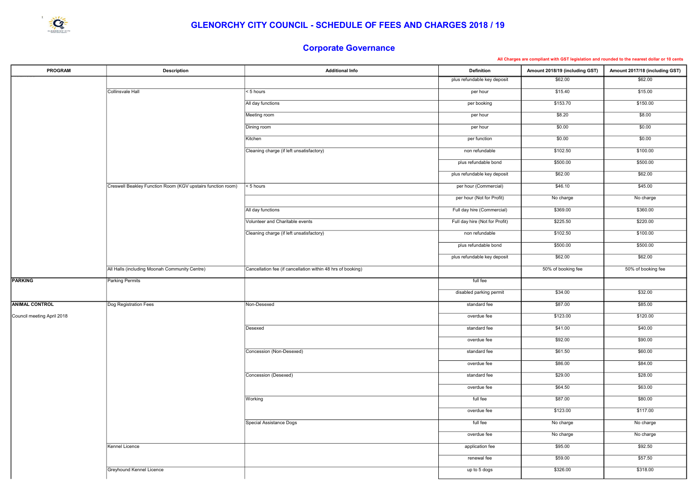| <b>PROGRAM</b>             | <b>Description</b>                                          | <b>Additional Info</b>                                      | <b>Definition</b>              | Amount 2018/19 (including GST) | Amount 2017/18 (including GST) |
|----------------------------|-------------------------------------------------------------|-------------------------------------------------------------|--------------------------------|--------------------------------|--------------------------------|
|                            |                                                             |                                                             | plus refundable key deposit    | \$62.00                        | \$62.00                        |
|                            | Collinsvale Hall                                            | $< 5$ hours                                                 | per hour                       | \$15.40                        | \$15.00                        |
|                            |                                                             | All day functions                                           | per booking                    | \$153.70                       | \$150.00                       |
|                            |                                                             | Meeting room                                                | per hour                       | \$8.20                         | \$8.00                         |
|                            |                                                             | Dining room                                                 | per hour                       | \$0.00                         | \$0.00                         |
|                            |                                                             | Kitchen                                                     | per function                   | \$0.00                         | \$0.00                         |
|                            |                                                             | Cleaning charge (if left unsatisfactory)                    | non refundable                 | \$102.50                       | \$100.00                       |
|                            |                                                             |                                                             | plus refundable bond           | \$500.00                       | \$500.00                       |
|                            |                                                             |                                                             | plus refundable key deposit    | \$62.00                        | \$62.00                        |
|                            | Creswell Beakley Function Room (KGV upstairs function room) | $5 hours$                                                   | per hour (Commercial)          | \$46.10                        | \$45.00                        |
|                            |                                                             |                                                             | per hour (Not for Profit)      | No charge                      | No charge                      |
|                            |                                                             | All day functions                                           | Full day hire (Commercial)     | \$369.00                       | \$360.00                       |
|                            |                                                             | Volunteer and Charitable events                             | Full day hire (Not for Profit) | \$225.50                       | \$220.00                       |
|                            |                                                             |                                                             |                                |                                |                                |
|                            |                                                             | Cleaning charge (if left unsatisfactory)                    | non refundable                 | \$102.50                       | \$100.00                       |
|                            |                                                             |                                                             | plus refundable bond           | \$500.00                       | \$500.00                       |
|                            |                                                             |                                                             | plus refundable key deposit    | \$62.00                        | \$62.00                        |
|                            | All Halls (including Moonah Community Centre)               | Cancellation fee (if cancellation within 48 hrs of booking) |                                | 50% of booking fee             | 50% of booking fee             |
| <b>PARKING</b>             | <b>Parking Permits</b>                                      |                                                             | full fee                       |                                |                                |
|                            |                                                             |                                                             | disabled parking permit        | \$34.00                        | \$32.00                        |
| <b>ANIMAL CONTROL</b>      | Dog Registration Fees                                       | Non-Desexed                                                 | standard fee                   | \$87.00                        | \$85.00                        |
| Council meeting April 2018 |                                                             |                                                             | overdue fee                    | \$123.00                       | \$120.00                       |
|                            |                                                             | Desexed                                                     | standard fee                   | \$41.00                        | \$40.00                        |
|                            |                                                             |                                                             | overdue fee                    | \$92.00                        | \$90.00                        |
|                            |                                                             | Concession (Non-Desexed)                                    | standard fee                   | \$61.50                        | \$60.00                        |
|                            |                                                             |                                                             | overdue fee                    | \$86.00                        | \$84.00                        |
|                            |                                                             | Concession (Desexed)                                        | standard fee                   | \$29.00                        | \$28.00                        |
|                            |                                                             |                                                             | overdue fee                    | \$64.50                        | \$63.00                        |
|                            |                                                             | Working                                                     | full fee                       | \$87.00                        | \$80.00                        |
|                            |                                                             |                                                             | overdue fee                    | \$123.00                       | \$117.00                       |
|                            |                                                             | Special Assistance Dogs                                     | full fee                       | No charge                      | No charge                      |
|                            |                                                             |                                                             | overdue fee                    | No charge                      | No charge                      |
|                            | Kennel Licence                                              |                                                             | application fee                | \$95.00                        | \$92.50                        |
|                            |                                                             |                                                             | renewal fee                    | \$59.00                        | \$57.50                        |
|                            | Greyhound Kennel Licence                                    |                                                             | up to 5 dogs                   | \$326.00                       | \$318.00                       |
|                            |                                                             |                                                             |                                |                                |                                |

All Charges are compliant with GST legislation and rounded to the nearest dollar or 10 cents



# Corporate Governance